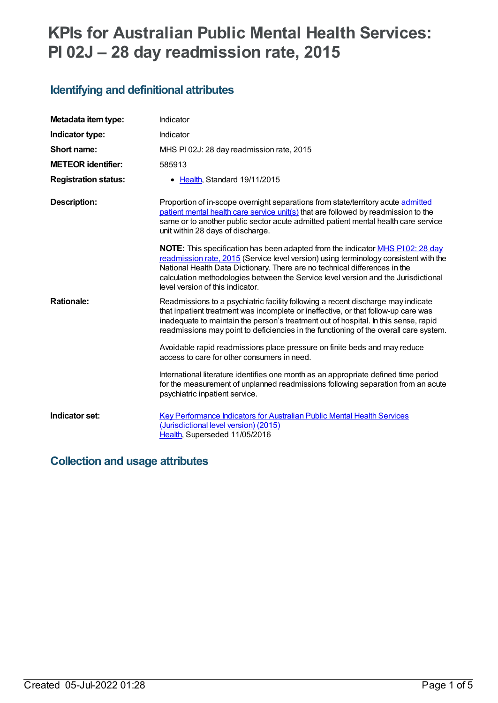# **KPIs for Australian Public Mental Health Services: PI 02J – 28 day readmission rate, 2015**

# **Identifying and definitional attributes**

| Metadata item type:         | Indicator                                                                                                                                                                                                                                                                                                                                                                                   |
|-----------------------------|---------------------------------------------------------------------------------------------------------------------------------------------------------------------------------------------------------------------------------------------------------------------------------------------------------------------------------------------------------------------------------------------|
| Indicator type:             | Indicator                                                                                                                                                                                                                                                                                                                                                                                   |
| Short name:                 | MHS PI02J: 28 day readmission rate, 2015                                                                                                                                                                                                                                                                                                                                                    |
| <b>METEOR identifier:</b>   | 585913                                                                                                                                                                                                                                                                                                                                                                                      |
| <b>Registration status:</b> | • Health, Standard 19/11/2015                                                                                                                                                                                                                                                                                                                                                               |
| <b>Description:</b>         | Proportion of in-scope overnight separations from state/territory acute admitted<br>patient mental health care service unit(s) that are followed by readmission to the<br>same or to another public sector acute admitted patient mental health care service<br>unit within 28 days of discharge.                                                                                           |
|                             | <b>NOTE:</b> This specification has been adapted from the indicator <b>MHS P102: 28 day</b><br>readmission rate, 2015 (Service level version) using terminology consistent with the<br>National Health Data Dictionary. There are no technical differences in the<br>calculation methodologies between the Service level version and the Jurisdictional<br>level version of this indicator. |
| <b>Rationale:</b>           | Readmissions to a psychiatric facility following a recent discharge may indicate<br>that inpatient treatment was incomplete or ineffective, or that follow-up care was<br>inadequate to maintain the person's treatment out of hospital. In this sense, rapid<br>readmissions may point to deficiencies in the functioning of the overall care system.                                      |
|                             | Avoidable rapid readmissions place pressure on finite beds and may reduce<br>access to care for other consumers in need.                                                                                                                                                                                                                                                                    |
|                             | International literature identifies one month as an appropriate defined time period<br>for the measurement of unplanned readmissions following separation from an acute<br>psychiatric inpatient service.                                                                                                                                                                                   |
| Indicator set:              | <b>Key Performance Indicators for Australian Public Mental Health Services</b><br>(Jurisdictional level version) (2015)<br>Health, Superseded 11/05/2016                                                                                                                                                                                                                                    |

# **Collection and usage attributes**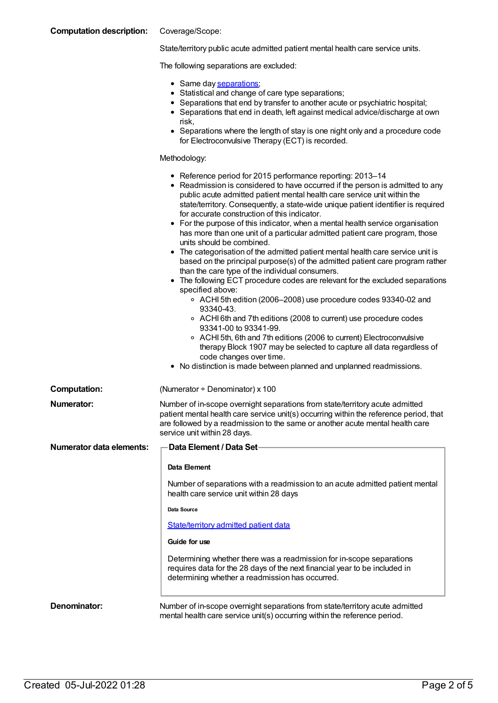| <b>Computation description:</b> | Coverage/Scope:                                                                                                                                                                                                                                                                                                                                                                                                                                                                                                                                                                                                                                                                                                                                                                                                                                                                                                                                                                                                                                                                                                                                                                                                                                                                                                         |
|---------------------------------|-------------------------------------------------------------------------------------------------------------------------------------------------------------------------------------------------------------------------------------------------------------------------------------------------------------------------------------------------------------------------------------------------------------------------------------------------------------------------------------------------------------------------------------------------------------------------------------------------------------------------------------------------------------------------------------------------------------------------------------------------------------------------------------------------------------------------------------------------------------------------------------------------------------------------------------------------------------------------------------------------------------------------------------------------------------------------------------------------------------------------------------------------------------------------------------------------------------------------------------------------------------------------------------------------------------------------|
|                                 | State/territory public acute admitted patient mental health care service units.                                                                                                                                                                                                                                                                                                                                                                                                                                                                                                                                                                                                                                                                                                                                                                                                                                                                                                                                                                                                                                                                                                                                                                                                                                         |
|                                 | The following separations are excluded:                                                                                                                                                                                                                                                                                                                                                                                                                                                                                                                                                                                                                                                                                                                                                                                                                                                                                                                                                                                                                                                                                                                                                                                                                                                                                 |
|                                 | • Same day separations;<br>• Statistical and change of care type separations;<br>• Separations that end by transfer to another acute or psychiatric hospital;<br>• Separations that end in death, left against medical advice/discharge at own<br>risk,<br>• Separations where the length of stay is one night only and a procedure code<br>for Electroconvulsive Therapy (ECT) is recorded.                                                                                                                                                                                                                                                                                                                                                                                                                                                                                                                                                                                                                                                                                                                                                                                                                                                                                                                            |
|                                 | Methodology:                                                                                                                                                                                                                                                                                                                                                                                                                                                                                                                                                                                                                                                                                                                                                                                                                                                                                                                                                                                                                                                                                                                                                                                                                                                                                                            |
|                                 | • Reference period for 2015 performance reporting: 2013-14<br>• Readmission is considered to have occurred if the person is admitted to any<br>public acute admitted patient mental health care service unit within the<br>state/territory. Consequently, a state-wide unique patient identifier is required<br>for accurate construction of this indicator.<br>• For the purpose of this indicator, when a mental health service organisation<br>has more than one unit of a particular admitted patient care program, those<br>units should be combined.<br>• The categorisation of the admitted patient mental health care service unit is<br>based on the principal purpose(s) of the admitted patient care program rather<br>than the care type of the individual consumers.<br>• The following ECT procedure codes are relevant for the excluded separations<br>specified above:<br>○ ACHI 5th edition (2006–2008) use procedure codes 93340-02 and<br>93340-43.<br>○ ACHI 6th and 7th editions (2008 to current) use procedure codes<br>93341-00 to 93341-99.<br>○ ACHI 5th, 6th and 7th editions (2006 to current) Electroconvulsive<br>therapy Block 1907 may be selected to capture all data regardless of<br>code changes over time.<br>• No distinction is made between planned and unplanned readmissions. |
| <b>Computation:</b>             | (Numerator + Denominator) x 100                                                                                                                                                                                                                                                                                                                                                                                                                                                                                                                                                                                                                                                                                                                                                                                                                                                                                                                                                                                                                                                                                                                                                                                                                                                                                         |
| <b>Numerator:</b>               | Number of in-scope overnight separations from state/territory acute admitted<br>patient mental health care service unit(s) occurring within the reference period, that<br>are followed by a readmission to the same or another acute mental health care<br>service unit within 28 days.                                                                                                                                                                                                                                                                                                                                                                                                                                                                                                                                                                                                                                                                                                                                                                                                                                                                                                                                                                                                                                 |
| <b>Numerator data elements:</b> | <b>Data Element / Data Set-</b>                                                                                                                                                                                                                                                                                                                                                                                                                                                                                                                                                                                                                                                                                                                                                                                                                                                                                                                                                                                                                                                                                                                                                                                                                                                                                         |
|                                 | Data Element                                                                                                                                                                                                                                                                                                                                                                                                                                                                                                                                                                                                                                                                                                                                                                                                                                                                                                                                                                                                                                                                                                                                                                                                                                                                                                            |
|                                 | Number of separations with a readmission to an acute admitted patient mental<br>health care service unit within 28 days                                                                                                                                                                                                                                                                                                                                                                                                                                                                                                                                                                                                                                                                                                                                                                                                                                                                                                                                                                                                                                                                                                                                                                                                 |
|                                 | Data Source                                                                                                                                                                                                                                                                                                                                                                                                                                                                                                                                                                                                                                                                                                                                                                                                                                                                                                                                                                                                                                                                                                                                                                                                                                                                                                             |
|                                 | <b>State/territory admitted patient data</b>                                                                                                                                                                                                                                                                                                                                                                                                                                                                                                                                                                                                                                                                                                                                                                                                                                                                                                                                                                                                                                                                                                                                                                                                                                                                            |
|                                 | Guide for use                                                                                                                                                                                                                                                                                                                                                                                                                                                                                                                                                                                                                                                                                                                                                                                                                                                                                                                                                                                                                                                                                                                                                                                                                                                                                                           |
|                                 | Determining whether there was a readmission for in-scope separations<br>requires data for the 28 days of the next financial year to be included in<br>determining whether a readmission has occurred.                                                                                                                                                                                                                                                                                                                                                                                                                                                                                                                                                                                                                                                                                                                                                                                                                                                                                                                                                                                                                                                                                                                   |
| Denominator:                    | Number of in-scope overnight separations from state/territory acute admitted<br>mental health care service unit(s) occurring within the reference period.                                                                                                                                                                                                                                                                                                                                                                                                                                                                                                                                                                                                                                                                                                                                                                                                                                                                                                                                                                                                                                                                                                                                                               |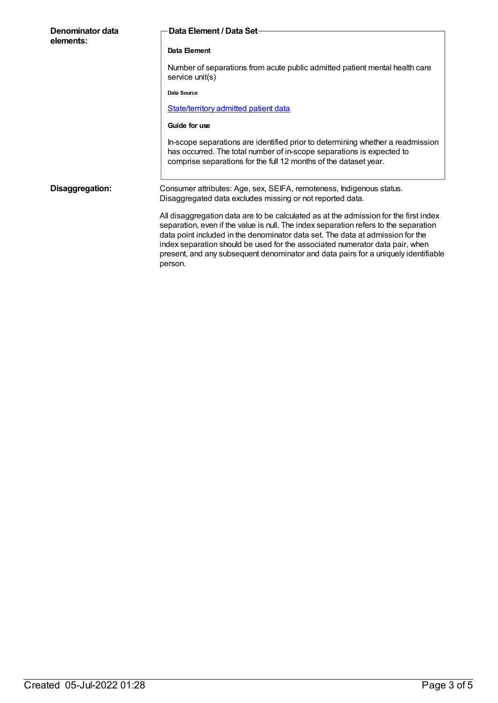| Denominator data<br>elements: | Data Element / Data Set-                                                                                                                                                                                                                                                                                                                                                                                                                        |
|-------------------------------|-------------------------------------------------------------------------------------------------------------------------------------------------------------------------------------------------------------------------------------------------------------------------------------------------------------------------------------------------------------------------------------------------------------------------------------------------|
|                               | Data Element                                                                                                                                                                                                                                                                                                                                                                                                                                    |
|                               | Number of separations from acute public admitted patient mental health care<br>service unit(s)                                                                                                                                                                                                                                                                                                                                                  |
|                               | Data Source                                                                                                                                                                                                                                                                                                                                                                                                                                     |
|                               | <b>State/territory admitted patient data</b>                                                                                                                                                                                                                                                                                                                                                                                                    |
|                               | Guide for use                                                                                                                                                                                                                                                                                                                                                                                                                                   |
|                               | In-scope separations are identified prior to determining whether a readmission<br>has occurred. The total number of in-scope separations is expected to<br>comprise separations for the full 12 months of the dataset year.                                                                                                                                                                                                                     |
| Disaggregation:               | Consumer attributes: Age, sex, SEIFA, remoteness, Indigenous status.<br>Disaggregated data excludes missing or not reported data.                                                                                                                                                                                                                                                                                                               |
|                               | All disaggregation data are to be calculated as at the admission for the first index<br>separation, even if the value is null. The index separation refers to the separation<br>data point included in the denominator data set. The data at admission for the<br>index separation should be used for the associated numerator data pair, when<br>present, and any subsequent denominator and data pairs for a uniquely identifiable<br>person. |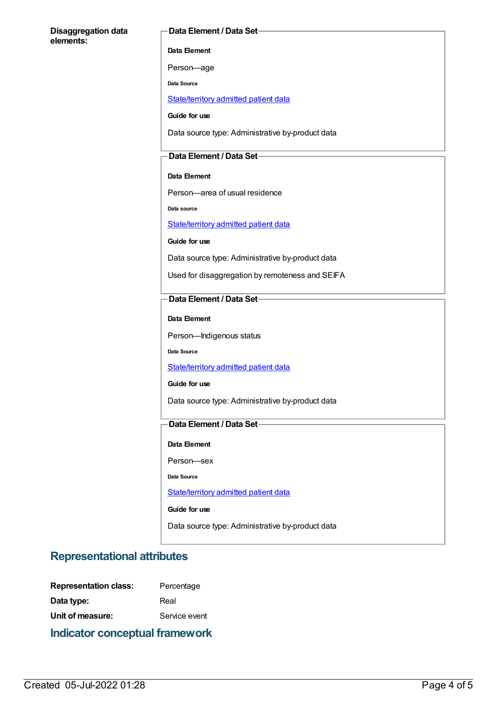#### **Disaggregation data elements:**

### **Data Element / Data Set**

**Data Element**

Person—age

**Data Source**

[State/territory](file:///content/426458) admitted patient data

**Guide for use**

Data source type: Administrative by-product data

### **Data Element / Data Set**

### **Data Element**

Person—area of usual residence

**Data source**

[State/territory](file:///content/426458) admitted patient data

**Guide for use**

Data source type: Administrative by-product data

Used for disaggregation by remoteness and SEIFA

### **Data Element / Data Set**

**Data Element**

Person—Indigenous status

**Data Source**

[State/territory](file:///content/426458) admitted patient data

**Guide for use**

Data source type: Administrative by-product data

### **Data Element / Data Set**

**Data Element**

Person—sex

**Data Source**

[State/territory](file:///content/426458) admitted patient data

**Guide for use**

Data source type: Administrative by-product data

## **Representational attributes**

| <b>Representation class:</b> | Percentage    |
|------------------------------|---------------|
| Data type:                   | Real          |
| Unit of measure:             | Service event |
|                              |               |

**Indicator conceptual framework**